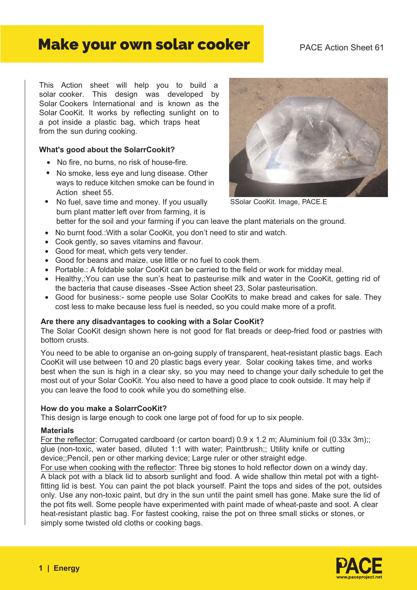# Make your own solar cooker

# PACE Action Sheet 61

This Action sheet will help you to build a solar cooker. This design was developed by Solar Cookers International and is known as the Solar CooKit. It works by reflecting sunlight on to a pot inside a plastic bag, which traps heat from the sun during cooking.

#### **What's good about the SolarrCookit?**

- No fire, no burns, no risk of house-fire.
- No smoke, less eye and lung disease. Other ways to reduce kitchen smoke can be found in Action sheet 55.
- No fuel, save time and money. If you usually SSolar CooKit. Image, PACE.E burn plant matter left over from farming, it is



better for the soil and your farming if you can leave the plant materials on the ground.

- No burnt food.:With a solar CooKit, you don't need to stir and watch.
- Cook gently, so saves vitamins and flavour.
- Good for meat, which gets very tender.
- Good for beans and maize, use little or no fuel to cook them.
- Portable.: A foldable solar CooKit can be carried to the field or work for midday meal.
- Healthy,: You can use the sun's heat to pasteurise milk and water in the CooKit, getting rid of the bacteria that cause diseases -Ssee Action sheet 23, Solar pasteurisation.
- Good for business:- some people use Solar CooKits to make bread and cakes for sale. They cost less to make because less fuel is needed, so you could make more of a profit.

#### **Are there any disadvantages to cooking with a Solar CooKit?**

The Solar CooKit design shown here is not good for flat breads or deep-fried food or pastries with bottom crusts.

You need to be able to organise an on-going supply of transparent, heat-resistant plastic bags. Each CooKit will use between 10 and 20 plastic bags every year. Solar cooking takes time, and works best when the sun is high in a clear sky, so you may need to change your daily schedule to get the most out of your Solar CooKit. You also need to have a good place to cook outside. It may help if you can leave the food to cook while you do something else.

#### **How do you make a SolarrCooKit?**

This design is large enough to cook one large pot of food for up to six people.

#### **Materials**

For the reflector: Corrugated cardboard (or carton board) 0.9 x 1.2 m; Aluminium foil (0.33x 3m);; glue (non-toxic, water based, diluted 1:1 with water; Paintbrush;; Utility knife or cutting device;;Pencil, pen or other marking device; Large ruler or other straight edge.

For use when cooking with the reflector: Three big stones to hold reflector down on a windy day. A black pot with a black lid to absorb sunlight and food. A wide shallow thin metal pot with a tightfitting lid is best. You can paint the pot black yourself. Paint the tops and sides of the pot, outsides only. Use any non-toxic paint, but dry in the sun until the paint smell has gone. Make sure the lid of the pot fits well. Some people have experimented with paint made of wheat-paste and soot. A clear heat-resistant plastic bag. For fastest cooking, raise the pot on three small sticks or stones, or simply some twisted old cloths or cooking bags.

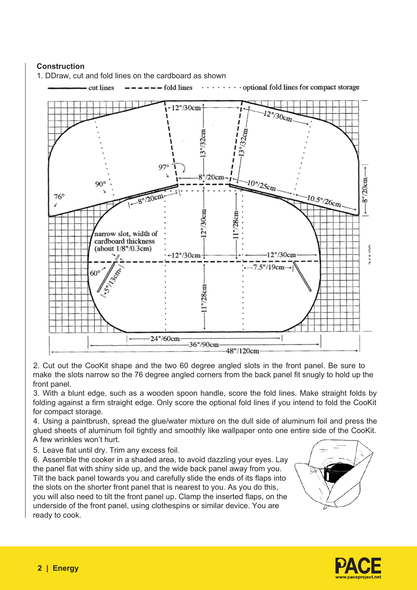# **Construction**

1. DDraw, cut and fold lines on the cardboard as shown



2. Cut out the CooKit shape and the two 60 degree angled slots in the front panel. Be sure to make the slots narrow so the 76 degree angled corners from the back panel fit snugly to hold up the front panel.

3. With a blunt edge, such as a wooden spoon handle, score the fold lines. Make straight folds by folding against a firm straight edge. Only score the optional fold lines if you intend to fold the CooKit for compact storage.

4. Using a paintbrush, spread the glue/water mixture on the dull side of aluminum foil and press the glued sheets of aluminum foil tightly and smoothly like wallpaper onto one entire side of the CooKit. A few wrinkles won't hurt.

5. Leave flat until dry. Trim any excess foil.

6. Assemble the cooker in a shaded area, to avoid dazzling your eyes. Lay the panel flat with shiny side up, and the wide back panel away from you. Tilt the back panel towards you and carefully slide the ends of its flaps into the slots on the shorter front panel that is nearest to you. As you do this, you will also need to tilt the front panel up. Clamp the inserted flaps, on the underside of the front panel, using clothespins or similar device. You are ready to cook.



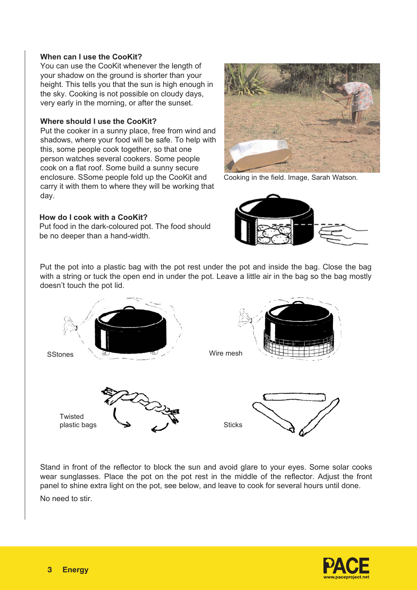#### **When can I use the CooKit?**

You can use the CooKit whenever the length of your shadow on the ground is shorter than your height. This tells you that the sun is high enough in the sky. Cooking is not possible on cloudy days, very early in the morning, or after the sunset.

#### **Where should I use the CooKit?**

Put the cooker in a sunny place, free from wind and shadows, where your food will be safe. To help with this, some people cook together, so that one person watches several cookers. Some people cook on a flat roof. Some build a sunny secure enclosure. SSome people fold up the CooKit and carry it with them to where they will be working that day.

# **How do I cook with a CooKit?**

Put food in the dark-coloured pot. The food should be no deeper than a hand-width.



Cooking in the field. Image, Sarah Watson.



Put the pot into a plastic bag with the pot rest under the pot and inside the bag. Close the bag with a string or tuck the open end in under the pot. Leave a little air in the bag so the bag mostly doesn't touch the pot lid.



Stand in front of the reflector to block the sun and avoid glare to your eyes. Some solar cooks wear sunglasses. Place the pot on the pot rest in the middle of the reflector. Adjust the front panel to shine extra light on the pot, see below, and leave to cook for several hours until done. No need to stir.

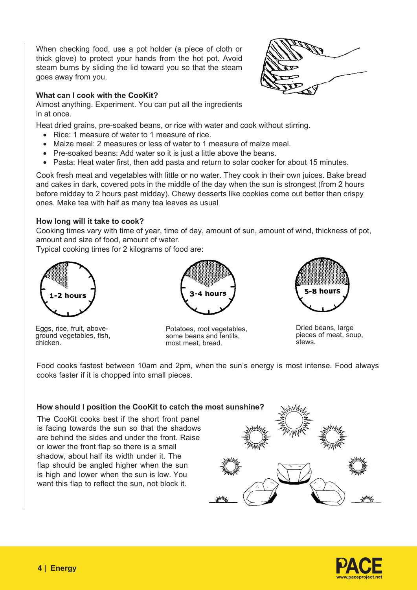When checking food, use a pot holder (a piece of cloth or thick glove) to protect your hands from the hot pot. Avoid steam burns by sliding the lid toward you so that the steam goes away from you.

# **What can I cook with the CooKit?**

Almost anything. Experiment. You can put all the ingredients in at once.

Heat dried grains, pre-soaked beans, or rice with water and cook without stirring.

- Rice: 1 measure of water to 1 measure of rice.
- Maize meal: 2 measures or less of water to 1 measure of maize meal.
- Pre-soaked beans: Add water so it is just a little above the beans.
- Pasta: Heat water first, then add pasta and return to solar cooker for about 15 minutes.

Cook fresh meat and vegetables with little or no water. They cook in their own juices. Bake bread and cakes in dark, covered pots in the middle of the day when the sun is strongest (from 2 hours before midday to 2 hours past midday). Chewy desserts like cookies come out better than crispy ones. Make tea with half as many tea leaves as usual

# **How long will it take to cook?**

Cooking times vary with time of year, time of day, amount of sun, amount of wind, thickness of pot, amount and size of food, amount of water.

Typical cooking times for 2 kilograms of food are:







Eggs, rice, fruit, aboveground vegetables, fish, chicken.

Potatoes, root vegetables, some beans and lentils, most meat, bread.

Dried beans, large pieces of meat, soup, stews.

Food cooks fastest between 10am and 2pm, when the sun's energy is most intense. Food always cooks faster if it is chopped into small pieces.

#### **How should I position the CooKit to catch the most sunshine?**

The CooKit cooks best if the short front panel is facing towards the sun so that the shadows are behind the sides and under the front. Raise or lower the front flap so there is a small shadow, about half its width under it. The flap should be angled higher when the sun is high and lower when the sun is low. You want this flap to reflect the sun, not block it.